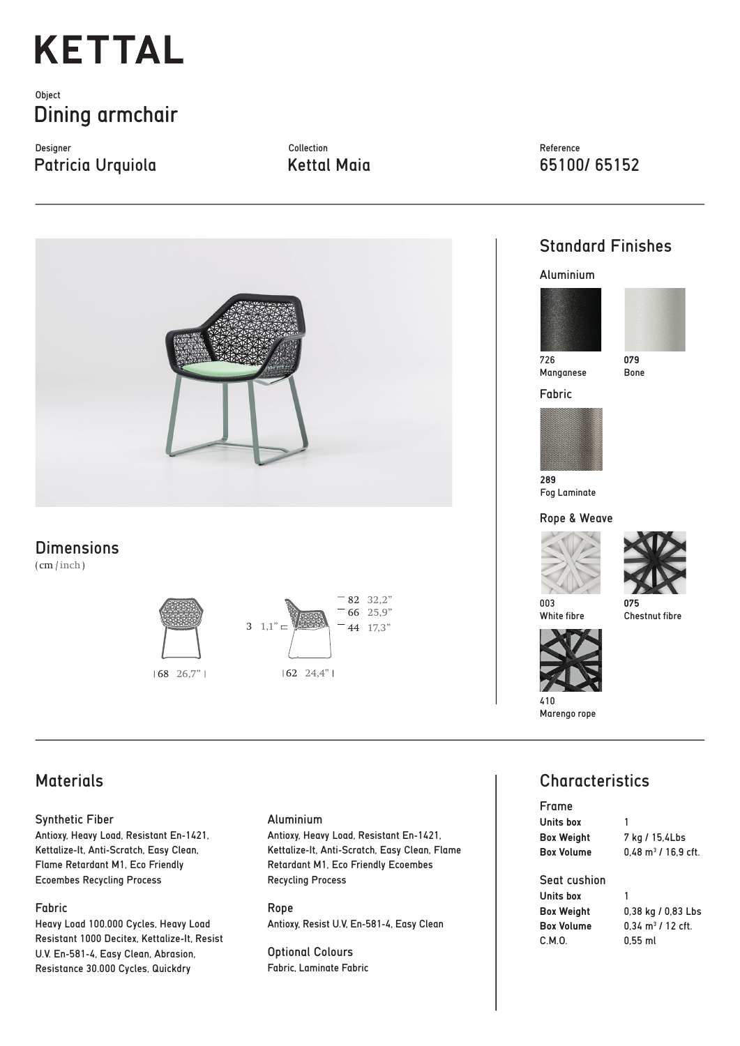# **KETTAL**

## **Object** Dining armchair

Designer Collection Patricia Urquiola Kettal Maia 65100/ 65152

Reference



### **Dimensions**

( cm / inch )





# Standard Finishes

#### Aluminium





Bone

Manganese

Fabric



Fog Laminate

### Rope & Weave



White fibre

**075** Chestnut fibre



Marengo rope

# **Characteristics**

| <b>Frame</b>      |                                |
|-------------------|--------------------------------|
| Units box         | 1                              |
| <b>Box Weight</b> | 7 kg / 15,4Lbs                 |
| <b>Box Volume</b> | $0.48 \text{ m}^3$ / 16.9 cft. |
| Seat cushion      |                                |
| Units box         | 1                              |
| <b>Box Weight</b> | 0,38 kg / 0,83 Lbs             |
| <b>Box Volume</b> | $0.34 \text{ m}^3$ / 12 cft.   |
| C.M.0.            | 0.55 ml                        |

# **Materials**

#### Synthetic Fiber

Antioxy, Heavy Load, Resistant En-1421, Kettalize-It, Anti-Scratch, Easy Clean, Flame Retardant M1, Eco Friendly Ecoembes Recycling Process

#### Fabric

Heavy Load 100.000 Cycles, Heavy Load Resistant 1000 Decitex, Kettalize-It, Resist U.V. En-581-4, Easy Clean, Abrasion, Resistance 30.000 Cycles, Quickdry

#### Aluminium

Antioxy, Heavy Load, Resistant En-1421, Kettalize-It, Anti-Scratch, Easy Clean, Flame Retardant M1, Eco Friendly Ecoembes Recycling Process

Rope Antioxy, Resist U.V, En-581-4, Easy Clean

Optional Colours Fabric, Laminate Fabric